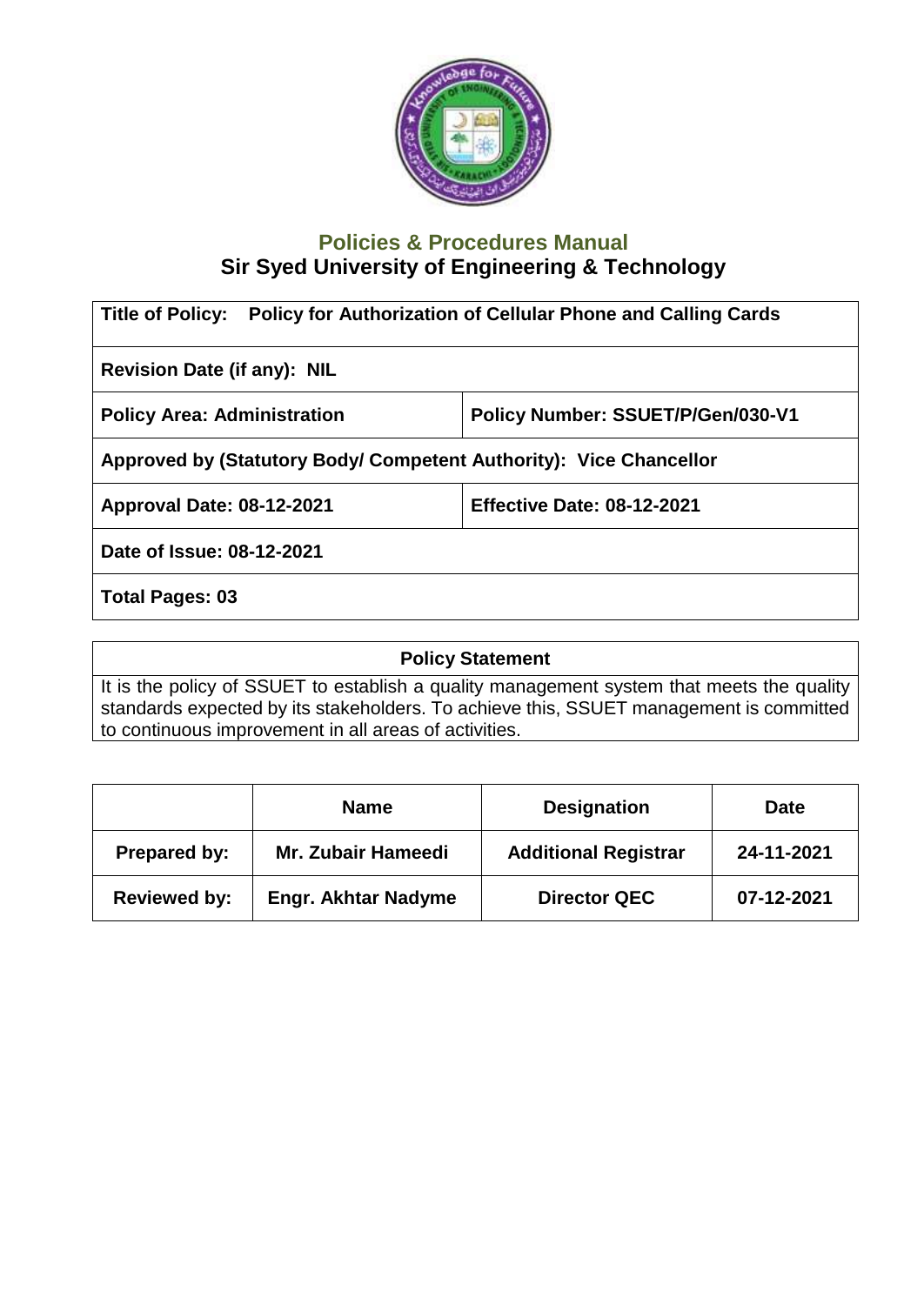

## **Policies & Procedures Manual Sir Syed University of Engineering & Technology**

| <b>Policy for Authorization of Cellular Phone and Calling Cards</b><br><b>Title of Policy:</b> |                                   |  |  |
|------------------------------------------------------------------------------------------------|-----------------------------------|--|--|
| <b>Revision Date (if any): NIL</b>                                                             |                                   |  |  |
| <b>Policy Area: Administration</b>                                                             | Policy Number: SSUET/P/Gen/030-V1 |  |  |
| Approved by (Statutory Body/ Competent Authority): Vice Chancellor                             |                                   |  |  |
| <b>Approval Date: 08-12-2021</b>                                                               | <b>Effective Date: 08-12-2021</b> |  |  |
| Date of Issue: 08-12-2021                                                                      |                                   |  |  |
| <b>Total Pages: 03</b>                                                                         |                                   |  |  |

**Policy Statement** It is the policy of SSUET to establish a quality management system that meets the quality standards expected by its stakeholders. To achieve this, SSUET management is committed to continuous improvement in all areas of activities.

|                     | <b>Name</b>                | <b>Designation</b>          | <b>Date</b> |
|---------------------|----------------------------|-----------------------------|-------------|
| Prepared by:        | <b>Mr. Zubair Hameedi</b>  | <b>Additional Registrar</b> | 24-11-2021  |
| <b>Reviewed by:</b> | <b>Engr. Akhtar Nadyme</b> | <b>Director QEC</b>         | 07-12-2021  |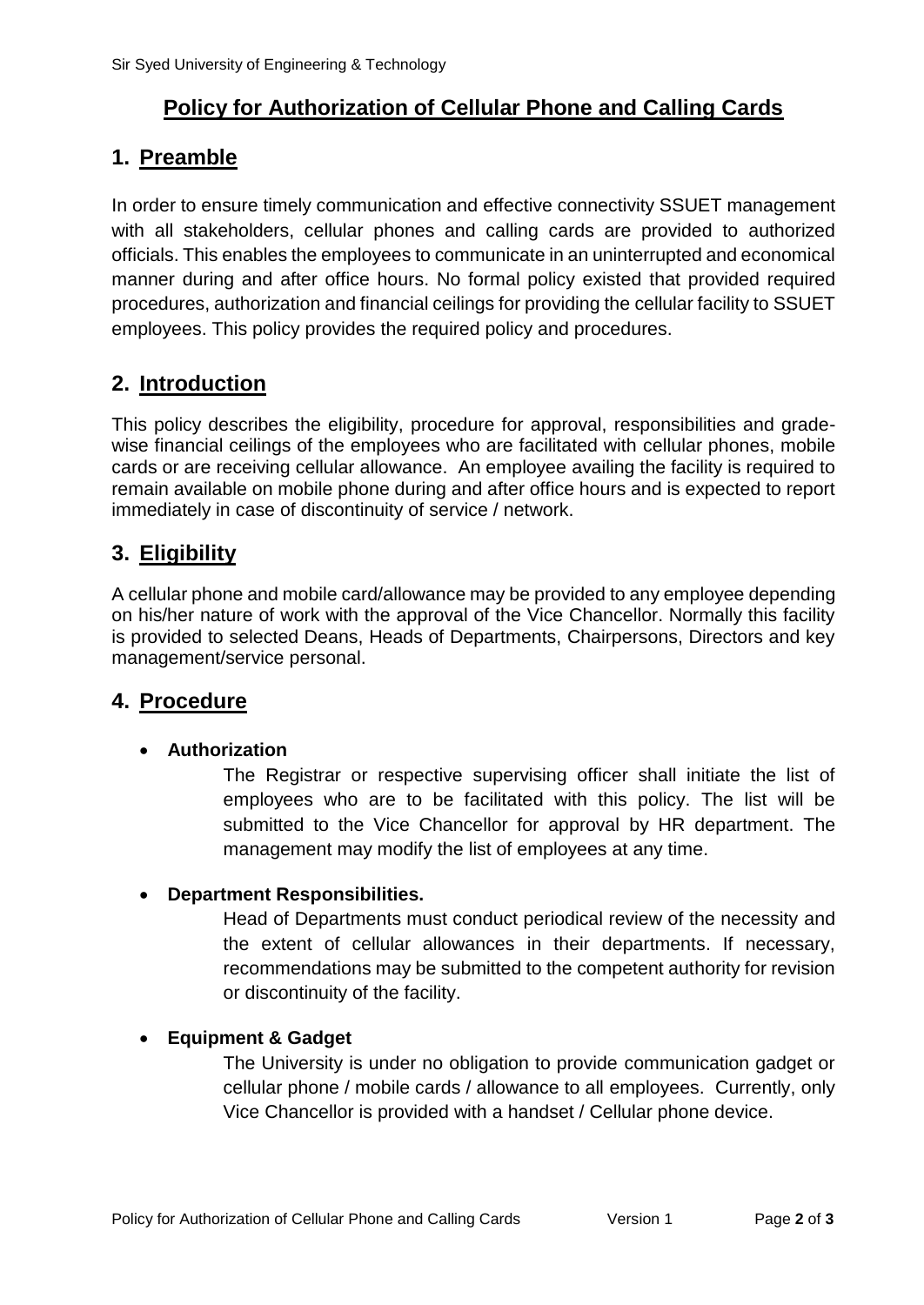# **Policy for Authorization of Cellular Phone and Calling Cards**

## **1. Preamble**

In order to ensure timely communication and effective connectivity SSUET management with all stakeholders, cellular phones and calling cards are provided to authorized officials. This enables the employees to communicate in an uninterrupted and economical manner during and after office hours. No formal policy existed that provided required procedures, authorization and financial ceilings for providing the cellular facility to SSUET employees. This policy provides the required policy and procedures.

## **2. Introduction**

This policy describes the eligibility, procedure for approval, responsibilities and gradewise financial ceilings of the employees who are facilitated with cellular phones, mobile cards or are receiving cellular allowance. An employee availing the facility is required to remain available on mobile phone during and after office hours and is expected to report immediately in case of discontinuity of service / network.

# **3. Eligibility**

A cellular phone and mobile card/allowance may be provided to any employee depending on his/her nature of work with the approval of the Vice Chancellor. Normally this facility is provided to selected Deans, Heads of Departments, Chairpersons, Directors and key management/service personal.

### **4. Procedure**

#### **Authorization**

The Registrar or respective supervising officer shall initiate the list of employees who are to be facilitated with this policy. The list will be submitted to the Vice Chancellor for approval by HR department. The management may modify the list of employees at any time.

#### **Department Responsibilities.**

Head of Departments must conduct periodical review of the necessity and the extent of cellular allowances in their departments. If necessary, recommendations may be submitted to the competent authority for revision or discontinuity of the facility.

#### **Equipment & Gadget**

The University is under no obligation to provide communication gadget or cellular phone / mobile cards / allowance to all employees. Currently, only Vice Chancellor is provided with a handset / Cellular phone device.